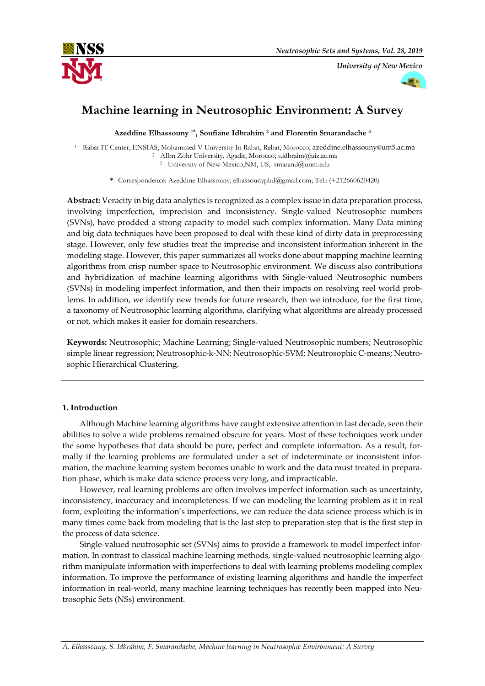

*University of New Mexico*



# **Machine learning in Neutrosophic Environment: A Survey**

**Azeddine Elhassouny 1\* , Soufiane Idbrahim <sup>2</sup> and Florentin Smarandache <sup>3</sup>**

<sup>1</sup> Rabat IT Center, ENSIAS, Mohammed V University In Rabat, Rabat, Morocco; azeddine.elhassouny@um5.ac.ma <sup>2</sup> AIbn Zohr University, Agadir, Morocco; s.idbraim@uiz.ac.ma <sup>3</sup> University of New Mexico,NM, US; smarand@unm.edu

**\*** Correspondence: Azeddine Elhassouny; elhassounyphd@gmail.com; Tel.: (+212660620420)

**Abstract:** Veracity in big data analytics is recognized as a complex issue in data preparation process, involving imperfection, imprecision and inconsistency. Single-valued Neutrosophic numbers (SVNs), have prodded a strong capacity to model such complex information. Many Data mining and big data techniques have been proposed to deal with these kind of dirty data in preprocessing stage. However, only few studies treat the imprecise and inconsistent information inherent in the modeling stage. However, this paper summarizes all works done about mapping machine learning algorithms from crisp number space to Neutrosophic environment. We discuss also contributions and hybridization of machine learning algorithms with Single-valued Neutrosophic numbers (SVNs) in modeling imperfect information, and then their impacts on resolving reel world problems. In addition, we identify new trends for future research, then we introduce, for the first time, a taxonomy of Neutrosophic learning algorithms, clarifying what algorithms are already processed or not, which makes it easier for domain researchers.

**Keywords:** Neutrosophic; Machine Learning; Single-valued Neutrosophic numbers; Neutrosophic simple linear regression; Neutrosophic-k-NN; Neutrosophic-SVM; Neutrosophic C-means; Neutrosophic Hierarchical Clustering.

# **1. Introduction**

Although Machine learning algorithms have caught extensive attention in last decade, seen their abilities to solve a wide problems remained obscure for years. Most of these techniques work under the some hypotheses that data should be pure, perfect and complete information. As a result, formally if the learning problems are formulated under a set of indeterminate or inconsistent information, the machine learning system becomes unable to work and the data must treated in preparation phase, which is make data science process very long, and impracticable.

However, real learning problems are often involves imperfect information such as uncertainty, inconsistency, inaccuracy and incompleteness. If we can modeling the learning problem as it in real form, exploiting the information's imperfections, we can reduce the data science process which is in many times come back from modeling that is the last step to preparation step that is the first step in the process of data science.

Single-valued neutrosophic set (SVNs) aims to provide a framework to model imperfect information. In contrast to classical machine learning methods, single-valued neutrosophic learning algorithm manipulate information with imperfections to deal with learning problems modeling complex information. To improve the performance of existing learning algorithms and handle the imperfect information in real-world, many machine learning techniques has recently been mapped into Neutrosophic Sets (NSs) environment.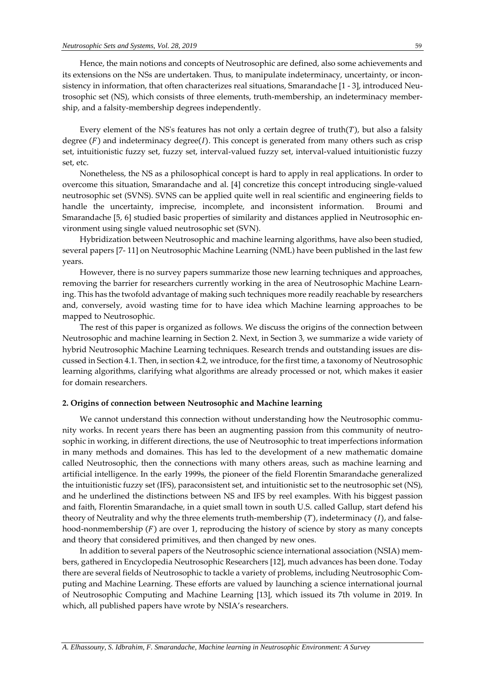Hence, the main notions and concepts of Neutrosophic are defined, also some achievements and its extensions on the NSs are undertaken. Thus, to manipulate indeterminacy, uncertainty, or inconsistency in information, that often characterizes real situations, Smarandache [1 - 3], introduced Neutrosophic set (NS), which consists of three elements, truth-membership, an indeterminacy membership, and a falsity-membership degrees independently.

Every element of the NS's features has not only a certain degree of truth $(T)$ , but also a falsity degree  $(F)$  and indeterminacy degree $(I)$ . This concept is generated from many others such as crisp set, intuitionistic fuzzy set, fuzzy set, interval-valued fuzzy set, interval-valued intuitionistic fuzzy set, etc.

Nonetheless, the NS as a philosophical concept is hard to apply in real applications. In order to overcome this situation, Smarandache and al. [4] concretize this concept introducing single-valued neutrosophic set (SVNS). SVNS can be applied quite well in real scientific and engineering fields to handle the uncertainty, imprecise, incomplete, and inconsistent information. Broumi and Smarandache [5, 6] studied basic properties of similarity and distances applied in Neutrosophic environment using single valued neutrosophic set (SVN).

Hybridization between Neutrosophic and machine learning algorithms, have also been studied, several papers [7- 11] on Neutrosophic Machine Learning (NML) have been published in the last few years.

However, there is no survey papers summarize those new learning techniques and approaches, removing the barrier for researchers currently working in the area of Neutrosophic Machine Learning. This has the twofold advantage of making such techniques more readily reachable by researchers and, conversely, avoid wasting time for to have idea which Machine learning approaches to be mapped to Neutrosophic.

The rest of this paper is organized as follows. We discuss the origins of the connection between Neutrosophic and machine learning in Section 2. Next, in Section 3, we summarize a wide variety of hybrid Neutrosophic Machine Learning techniques. Research trends and outstanding issues are discussed in Section 4.1. Then, in section 4.2, we introduce, for the first time, a taxonomy of Neutrosophic learning algorithms, clarifying what algorithms are already processed or not, which makes it easier for domain researchers.

#### **2. Origins of connection between Neutrosophic and Machine learning**

We cannot understand this connection without understanding how the Neutrosophic community works. In recent years there has been an augmenting passion from this community of neutrosophic in working, in different directions, the use of Neutrosophic to treat imperfections information in many methods and domaines. This has led to the development of a new mathematic domaine called Neutrosophic, then the connections with many others areas, such as machine learning and artificial intelligence. In the early 1999s, the pioneer of the field Florentin Smarandache generalized the intuitionistic fuzzy set (IFS), paraconsistent set, and intuitionistic set to the neutrosophic set (NS), and he underlined the distinctions between NS and IFS by reel examples. With his biggest passion and faith, Florentin Smarandache, in a quiet small town in south U.S. called Gallup, start defend his theory of Neutrality and why the three elements truth-membership  $(T)$ , indeterminacy  $(I)$ , and falsehood-nonmembership  $(F)$  are over 1, reproducing the history of science by story as many concepts and theory that considered primitives, and then changed by new ones.

In addition to several papers of the Neutrosophic science international association (NSIA) members, gathered in Encyclopedia Neutrosophic Researchers [12], much advances has been done. Today there are several fields of Neutrosophic to tackle a variety of problems, including Neutrosophic Computing and Machine Learning. These efforts are valued by launching a science international journal of Neutrosophic Computing and Machine Learning [13], which issued its 7th volume in 2019. In which, all published papers have wrote by NSIA's researchers.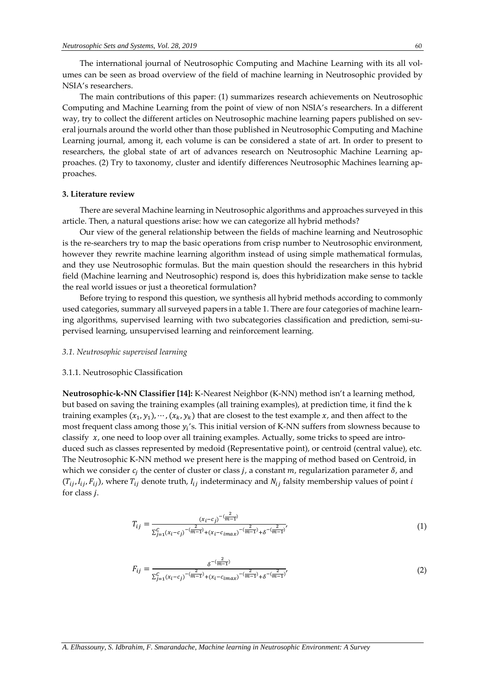The international journal of Neutrosophic Computing and Machine Learning with its all volumes can be seen as broad overview of the field of machine learning in Neutrosophic provided by NSIA's researchers.

The main contributions of this paper: (1) summarizes research achievements on Neutrosophic Computing and Machine Learning from the point of view of non NSIA's researchers. In a different way, try to collect the different articles on Neutrosophic machine learning papers published on several journals around the world other than those published in Neutrosophic Computing and Machine Learning journal, among it, each volume is can be considered a state of art. In order to present to researchers, the global state of art of advances research on Neutrosophic Machine Learning approaches. (2) Try to taxonomy, cluster and identify differences Neutrosophic Machines learning approaches.

#### **3. Literature review**

There are several Machine learning in Neutrosophic algorithms and approaches surveyed in this article. Then, a natural questions arise: how we can categorize all hybrid methods?

Our view of the general relationship between the fields of machine learning and Neutrosophic is the re-searchers try to map the basic operations from crisp number to Neutrosophic environment, however they rewrite machine learning algorithm instead of using simple mathematical formulas, and they use Neutrosophic formulas. But the main question should the researchers in this hybrid field (Machine learning and Neutrosophic) respond is, does this hybridization make sense to tackle the real world issues or just a theoretical formulation?

Before trying to respond this question, we synthesis all hybrid methods according to commonly used categories, summary all surveyed papers in a table 1. There are four categories of machine learning algorithms, supervised learning with two subcategories classification and prediction, semi-supervised learning, unsupervised learning and reinforcement learning.

#### *3.1. Neutrosophic supervised learning*

#### 3.1.1. Neutrosophic Classification

**Neutrosophic-k-NN Classifier [14]:** K-Nearest Neighbor (K-NN) method isn't a learning method, but based on saving the training examples (all training examples), at prediction time, it find the k training examples  $(x_1, y_1), \cdots, (x_k, y_k)$  that are closest to the test example x, and then affect to the most frequent class among those  $y_i$ 's. This initial version of K-NN suffers from slowness because to classify  $x$ , one need to loop over all training examples. Actually, some tricks to speed are introduced such as classes represented by medoid (Representative point), or centroid (central value), etc. The Neutrosophic K-NN method we present here is the mapping of method based on Centroid, in which we consider  $c_j$  the center of cluster or class  $j$ , a constant  $m$ , regularization parameter  $\delta$ , and  $(T_{ij}, I_{ij}, F_{ij})$ , where  $T_{ij}$  denote truth,  $I_{ij}$  indeterminacy and  $N_{ij}$  falsity membership values of point i for class *.* 

$$
T_{ij} = \frac{(x_i - c_j)^{-(\frac{2}{m-1})}}{\sum_{j=1}^{C} (x_i - c_j)^{-(\frac{2}{m-1})} + (x_i - c_{imax})^{-(\frac{2}{m-1})} + \delta^{-(\frac{2}{m-1})'}}
$$
(1)

$$
F_{ij} = \frac{\delta^{-(\frac{2}{m-1})}}{\sum_{j=1}^{C} (x_i - c_j)^{-(\frac{2}{m-1})} + (x_i - c_{imax})^{-(\frac{2}{m-1})} + \delta^{-(\frac{2}{m-1})'}}\tag{2}
$$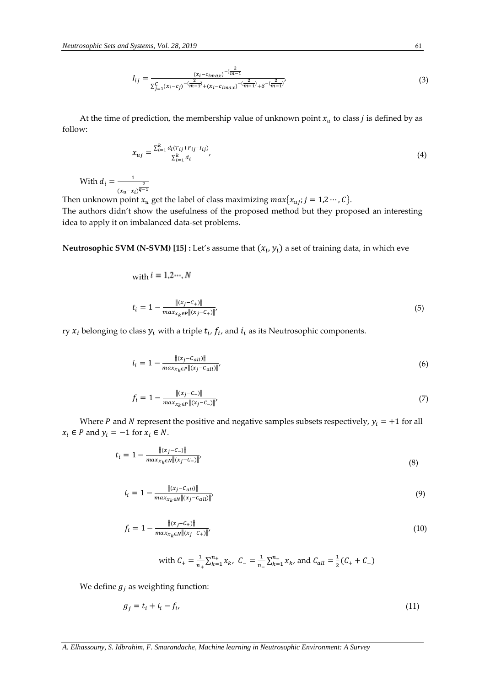$$
I_{ij} = \frac{(x_i - c_{imax})^{-(\frac{2}{m-1})}}{\sum_{j=1}^{C} (x_i - c_j)^{-(\frac{2}{m-1})} + (x_i - c_{imax})^{-(\frac{2}{m-1})} + \delta^{-(\frac{2}{m-1})}}
$$
(3)

At the time of prediction, the membership value of unknown point  $x_u$  to class *j* is defined by as follow:

$$
x_{uj} = \frac{\sum_{i=1}^{k} d_i (T_{ij} + F_{ij} - I_{ij})}{\sum_{i=1}^{k} d_i},\tag{4}
$$

With  $d_i = \frac{1}{1 - i}$  $\frac{2}{(x_u-x_i)^{\frac{2}{q-1}}}$ 

Then unknown point  $x_u$  get the label of class maximizing  $max\{x_{uj}; j = 1,2 \cdots, C\}$ . The authors didn't show the usefulness of the proposed method but they proposed an interesting idea to apply it on imbalanced data-set problems.

 $\bf{Neutrosophic\ SVM\ (N-SVM)\ [15]:}$  Let's assume that  $(x_i, y_i)$  a set of training data, in which eve

with 
$$
i = 1, 2, ..., N
$$
  
\n
$$
t_i = 1 - \frac{\|(x_i - C_+)\|}{\max_{x_k \in P} \|(x_j - C_+)\|'}
$$
\n(5)

ry  $x_i$  belonging to class  $y_i$  with a triple  $t_i$ ,  $f_i$ , and  $i_i$  as its Neutrosophic components.

$$
i_{i} = 1 - \frac{\| (x_{j} - c_{all}) \|}{\max_{x_{k} \in P} \| (x_{j} - c_{all}) \|'}
$$
\n(6)

$$
f_i = 1 - \frac{\|(x_j - c_-\)\|}{\max_{x_k \in P} \|(x_j - c_-\)\|} \tag{7}
$$

Where *P* and *N* represent the positive and negative samples subsets respectively,  $y_i = +1$  for all  $x_i \in P$  and  $y_i = -1$  for  $x_i \in N$ .

$$
t_i = 1 - \frac{\|(x_j - c_-)\|}{\max_{x_k \in N} \|(x_j - c_-)\|'}
$$
\n(8)

$$
i_{i} = 1 - \frac{\|(x_{j} - c_{all})\|}{\max_{x_{k} \in N} \|(x_{j} - c_{all})\|} \tag{9}
$$

$$
f_i = 1 - \frac{\|(x_j - c_+)\|}{\max_{x_k \in N} \|(x_j - c_+)\|},\tag{10}
$$

with 
$$
C_+ = \frac{1}{n_+} \sum_{k=1}^{n_+} x_k
$$
,  $C_- = \frac{1}{n_-} \sum_{k=1}^{n_-} x_k$ , and  $C_{all} = \frac{1}{2} (C_+ + C_-)$ 

We define  $g_i$  as weighting function:

$$
g_j = t_i + i_i - f_i,\tag{11}
$$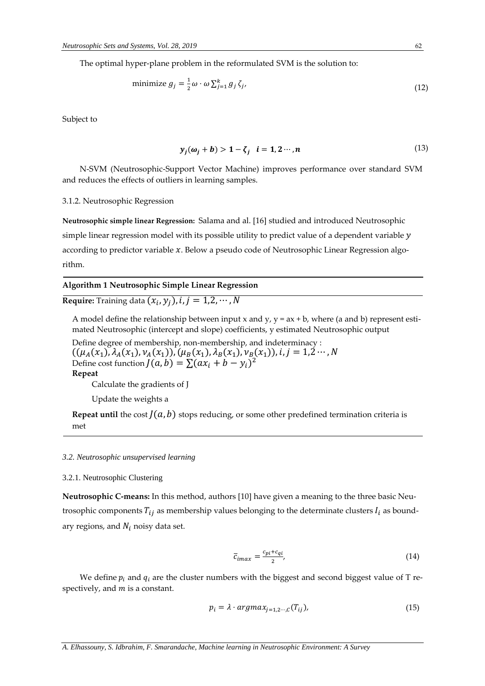The optimal hyper-plane problem in the reformulated SVM is the solution to:

minimize 
$$
g_j = \frac{1}{2} \omega \cdot \omega \sum_{j=1}^k g_j \zeta_j
$$
, (12)

Subject to

$$
y_j(\omega_j + b) > 1 - \zeta_j \quad i = 1, 2 \cdots, n \tag{13}
$$

N-SVM (Neutrosophic-Support Vector Machine) improves performance over standard SVM and reduces the effects of outliers in learning samples.

#### 3.1.2. Neutrosophic Regression

**Neutrosophic simple linear Regression:** Salama and al. [16] studied and introduced Neutrosophic simple linear regression model with its possible utility to predict value of a dependent variable y according to predictor variable  $x$ . Below a pseudo code of Neutrosophic Linear Regression algorithm.

# **Algorithm 1 Neutrosophic Simple Linear Regression**

# **Require:** Training data  $(x_i, y_j)$ ,  $i, j = 1, 2, \cdots, N$

A model define the relationship between input x and y,  $y = ax + b$ , where (a and b) represent estimated Neutrosophic (intercept and slope) coefficients, y estimated Neutrosophic output

Define degree of membership, non-membership, and indeterminacy :  $((\mu_A(x_1), \lambda_A(x_1), \nu_A(x_1)), (\mu_B(x_1), \lambda_B(x_1), \nu_B(x_1)), i, j = 1,2 \cdots, N$ Define cost function  $J(a, b) = \sum (ax_i + b - y_i)^2$ **Repeat** Calculate the gradients of J

Update the weights a

**Repeat until** the cost  $J(a, b)$  stops reducing, or some other predefined termination criteria is met

#### *3.2. Neutrosophic unsupervised learning*

#### 3.2.1. Neutrosophic Clustering

**Neutrosophic C-means:** In this method, authors [10] have given a meaning to the three basic Neutrosophic components  $T_{ij}$  as membership values belonging to the determinate clusters  $I_i$  as boundary regions, and  $N_i$  noisy data set.

$$
\overline{c}_{imax} = \frac{c_{pi} + c_{qi}}{2},\tag{14}
$$

We define  $p_i$  and  $q_i$  are the cluster numbers with the biggest and second biggest value of T respectively, and  $m$  is a constant.

$$
p_i = \lambda \cdot argmax_{j=1,2\cdots,C}(T_{ij}),
$$
\n(15)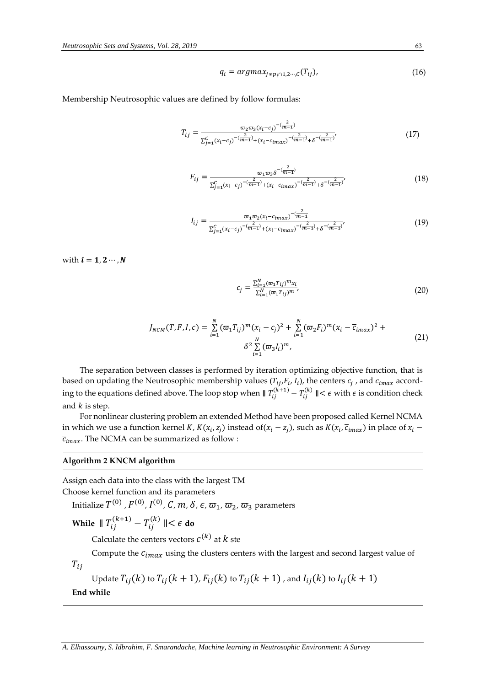$$
q_i = argmax_{j \neq p_i \cap 1, 2 \cdots, c} (T_{ij}), \qquad (16)
$$

Membership Neutrosophic values are defined by follow formulas:

$$
T_{ij} = \frac{\varpi_2 \varpi_3 (x_i - c_j)^{-(\frac{2}{m-1})}}{\sum_{j=1}^C (x_i - c_j)^{-(\frac{2}{m-1})} + (x_i - c_{imax})^{-(\frac{2}{m-1})} + \delta^{-(\frac{2}{m-1})'}}
$$
(17)

$$
F_{ij} = \frac{\varpi_1 \varpi_3 \delta^{-(\frac{2}{m-1})}}{\sum_{j=1}^{C} (x_i - c_j)^{-(\frac{2}{m-1})} + (x_i - c_{imax})^{-(\frac{2}{m-1})} + \delta^{-(\frac{2}{m-1})'}}\tag{18}
$$

$$
I_{ij} = \frac{\varpi_1 \varpi_2 (x_i - c_{imax})^{-(\frac{2}{m-1})}}{\sum_{j=1}^C (x_i - c_j)^{-(\frac{2}{m-1})} + (x_i - c_{imax})^{-(\frac{2}{m-1})} + \delta^{-(\frac{2}{m-1})'}} \tag{19}
$$

with  $i = 1, 2 \cdots, N$ 

$$
c_j = \frac{\sum_{i=1}^{N} (\varpi_1 T_{ij})^m x_i}{\sum_{i=1}^{N} (\varpi_1 T_{ij})^m},
$$
\n(20)

$$
J_{NCM}(T, F, I, c) = \sum_{i=1}^{N} (\varpi_1 T_{ij})^m (x_i - c_j)^2 + \sum_{i=1}^{N} (\varpi_2 F_i)^m (x_i - \overline{c}_{imax})^2 + \delta^2 \sum_{i=1}^{N} (\varpi_3 I_i)^m,
$$
\n(21)

The separation between classes is performed by iteration optimizing objective function, that is based on updating the Neutrosophic membership values ( $T_{ij}$ , $F_i$ ,  $I_i$ ), the centers  $c_j$  , and  $\overline{c}_{imax}$  according to the equations defined above. The loop stop when  $\|T_{ij}^{(k+1)} - T_{ij}^{(k)}\| < \epsilon$  with  $\epsilon$  is condition check and  $k$  is step.

For nonlinear clustering problem an extended Method have been proposed called Kernel NCMA in which we use a function kernel *K*,  $K(x_i, z_j)$  instead of( $x_i - z_j$ ), such as  $K(x_i, \overline{c}_{imax})$  in place of  $x_i$  –  $\overline{c}_{imax}$ . The NCMA can be summarized as follow :

#### **Algorithm 2 KNCM algorithm**

Assign each data into the class with the largest TM

Choose kernel function and its parameters

Initialize  $T^{(0)}$  ,  $F^{(0)}$ ,  $I^{(0)}$ ,  ${\cal C}$ ,  $m$ ,  $\delta$ ,  $\epsilon$ ,  $\varpi_1$ ,  $\varpi_2$ ,  $\varpi_3$  parameters

While ∥  $T_{ij}^{(k+1)} - T_{ij}^{(k)}$  ∥<  $\epsilon$  do

Calculate the centers vectors  $c^{(k)}$  at  $k$  ste

Compute the  $\overline{c}_{imax}$  using the clusters centers with the largest and second largest value of  $T_{ij}$ 

Update 
$$
T_{ij}(k)
$$
 to  $T_{ij}(k+1)$ ,  $F_{ij}(k)$  to  $T_{ij}(k+1)$ , and  $I_{ij}(k)$  to  $I_{ij}(k+1)$ 

**End while**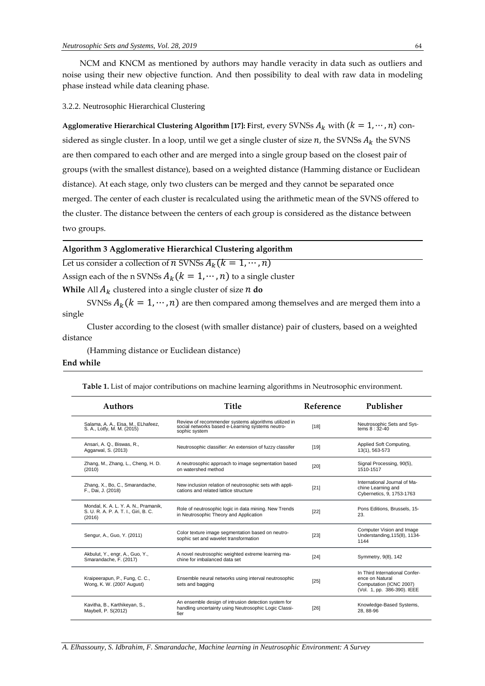NCM and KNCM as mentioned by authors may handle veracity in data such as outliers and noise using their new objective function. And then possibility to deal with raw data in modeling phase instead while data cleaning phase.

3.2.2. Neutrosophic Hierarchical Clustering

**Agglomerative Hierarchical Clustering Algorithm [17]: First, every SVNSs**  $A_k$  **with**  $(k = 1, \dots, n)$  **con**sidered as single cluster. In a loop, until we get a single cluster of size  $n$ , the SVNSs  $A_k$  the SVNS are then compared to each other and are merged into a single group based on the closest pair of groups (with the smallest distance), based on a weighted distance (Hamming distance or Euclidean distance). At each stage, only two clusters can be merged and they cannot be separated once merged. The center of each cluster is recalculated using the arithmetic mean of the SVNS offered to the cluster. The distance between the centers of each group is considered as the distance between two groups.

# **Algorithm 3 Agglomerative Hierarchical Clustering algorithm**

Let us consider a collection of *n* SVNSs  $A_k$  ( $k = 1, \dots, n$ )

Assign each of the n SVNSs  $A_k$  ( $k = 1, \dots, n$ ) to a single cluster

**While** All  $A_k$  clustered into a single cluster of size  $n$  do

SVNSs  $A_k$  ( $k = 1, \dots, n$ ) are then compared among themselves and are merged them into a single

 Cluster according to the closest (with smaller distance) pair of clusters, based on a weighted distance

(Hamming distance or Euclidean distance)

#### **End while**

**Table 1.** List of major contributions on machine learning algorithms in Neutrosophic environment.

| <b>Authors</b>                                                                         | Title                                                                                                                     | <b>Reference</b> | Publisher                                                                                                   |
|----------------------------------------------------------------------------------------|---------------------------------------------------------------------------------------------------------------------------|------------------|-------------------------------------------------------------------------------------------------------------|
| Salama, A. A., Eisa, M., ELhafeez,<br>S. A., Lotfy, M. M. (2015)                       | Review of recommender systems algorithms utilized in<br>social networks based e-Learning systems neutro-<br>sophic system | $[18]$           | Neutrosophic Sets and Sys-<br>tems $8:32-40$                                                                |
| Ansari, A. Q., Biswas, R.,<br>Aggarwal, S. (2013)                                      | Neutrosophic classifier: An extension of fuzzy classifer                                                                  | [19]             | Applied Soft Computing,<br>13(1), 563-573                                                                   |
| Zhang, M., Zhang, L., Cheng, H. D.<br>(2010)                                           | A neutrosophic approach to image segmentation based<br>on watershed method                                                | [20]             | Signal Processing, 90(5),<br>1510-1517                                                                      |
| Zhang, X., Bo, C., Smarandache,<br>F., Dai, J. (2018)                                  | New inclusion relation of neutrosophic sets with appli-<br>cations and related lattice structure                          | $[21]$           | International Journal of Ma-<br>chine Learning and<br>Cybernetics, 9, 1753-1763                             |
| Mondal, K. A. L. Y. A. N., Pramanik,<br>S. U. R. A. P. A. T. I., Giri, B. C.<br>(2016) | Role of neutrosophic logic in data mining. New Trends<br>in Neutrosophic Theory and Application                           | $[22]$           | Pons Editions, Brussels, 15-<br>23.                                                                         |
| Sengur, A., Guo, Y. (2011)                                                             | Color texture image segmentation based on neutro-<br>sophic set and wavelet transformation                                | $[23]$           | Computer Vision and Image<br>Understanding, 115(8), 1134-<br>1144                                           |
| Akbulut, Y., engr, A., Guo, Y.,<br>Smarandache, F. (2017)                              | A novel neutrosophic weighted extreme learning ma-<br>chine for imbalanced data set                                       | [24]             | Symmetry, 9(8), 142                                                                                         |
| Kraipeerapun, P., Fung, C. C.,<br>Wong, K. W. (2007 August)                            | Ensemble neural networks using interval neutrosophic<br>sets and bagging                                                  | [25]             | In Third International Confer-<br>ence on Natural<br>Computation (ICNC 2007)<br>(Vol. 1, pp. 386-390). IEEE |
| Kavitha, B., Karthikeyan, S.,<br>Maybell, P. S(2012)                                   | An ensemble design of intrusion detection system for<br>handling uncertainty using Neutrosophic Logic Classi-<br>fier     | [26]             | Knowledge-Based Systems,<br>28.88-96                                                                        |

*A. Elhassouny, S. Idbrahim, F. Smarandache, Machine learning in Neutrosophic Environment: A Survey*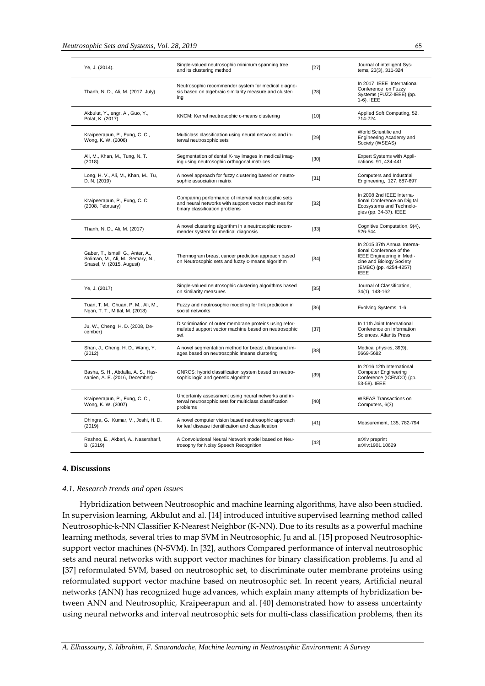| Ye, J. (2014).                                                                                      | Single-valued neutrosophic minimum spanning tree<br>and its clustering method                                                                 | $[27]$ | Journal of intelligent Sys-<br>tems, 23(3), 311-324                                                                                                                |
|-----------------------------------------------------------------------------------------------------|-----------------------------------------------------------------------------------------------------------------------------------------------|--------|--------------------------------------------------------------------------------------------------------------------------------------------------------------------|
| Thanh, N. D., Ali, M. (2017, July)                                                                  | Neutrosophic recommender system for medical diagno-<br>sis based on algebraic similarity measure and cluster-<br>ing                          | $[28]$ | In 2017 IEEE International<br>Conference on Fuzzy<br>Systems (FUZZ-IEEE) (pp.<br>1-6). IEEE                                                                        |
| Akbulut, Y., engr, A., Guo, Y.,<br>Polat, K. (2017)                                                 | KNCM: Kernel neutrosophic c-means clustering                                                                                                  | $[10]$ | Applied Soft Computing, 52,<br>714-724                                                                                                                             |
| Kraipeerapun, P., Fung, C. C.,<br>Wong, K. W. (2006)                                                | Multiclass classification using neural networks and in-<br>terval neutrosophic sets                                                           | $[29]$ | World Scientific and<br>Engineering Academy and<br>Society (WSEAS)                                                                                                 |
| Ali, M., Khan, M., Tung, N. T.<br>(2018)                                                            | Segmentation of dental X-ray images in medical imag-<br>ing using neutrosophic orthogonal matrices                                            | [30]   | Expert Systems with Appli-<br>cations, 91, 434-441                                                                                                                 |
| Long, H. V., Ali, M., Khan, M., Tu,<br>D. N. (2019)                                                 | A novel approach for fuzzy clustering based on neutro-<br>sophic association matrix                                                           | $[31]$ | Computers and Industrial<br>Engineering, 127, 687-697                                                                                                              |
| Kraipeerapun, P., Fung, C. C.<br>(2008, February)                                                   | Comparing performance of interval neutrosophic sets<br>and neural networks with support vector machines for<br>binary classification problems | $[32]$ | In 2008 2nd IEEE Interna-<br>tional Conference on Digital<br>Ecosystems and Technolo-<br>gies (pp. 34-37). IEEE                                                    |
| Thanh, N. D., Ali, M. (2017)                                                                        | A novel clustering algorithm in a neutrosophic recom-<br>mender system for medical diagnosis                                                  | $[33]$ | Cognitive Computation, 9(4),<br>526-544                                                                                                                            |
| Gaber, T., Ismail, G., Anter, A.,<br>Soliman, M., Ali, M., Semary, N.,<br>Snasel, V. (2015, August) | Thermogram breast cancer prediction approach based<br>on Neutrosophic sets and fuzzy c-means algorithm                                        | $[34]$ | In 2015 37th Annual Interna-<br>tional Conference of the<br><b>IEEE Engineering in Medi-</b><br>cine and Biology Society<br>(EMBC) (pp. 4254-4257).<br><b>IEEE</b> |
| Ye, J. (2017)                                                                                       | Single-valued neutrosophic clustering algorithms based<br>on similarity measures                                                              | $[35]$ | Journal of Classification,<br>34(1), 148-162                                                                                                                       |
| Tuan, T. M., Chuan, P. M., Ali, M.,<br>Ngan, T. T., Mittal, M. (2018)                               | Fuzzy and neutrosophic modeling for link prediction in<br>social networks                                                                     | $[36]$ | Evolving Systems, 1-6                                                                                                                                              |
| Ju, W., Cheng, H. D. (2008, De-<br>cember)                                                          | Discrimination of outer membrane proteins using refor-<br>mulated support vector machine based on neutrosophic<br>set                         | $[37]$ | In 11th Joint International<br>Conference on Information<br>Sciences, Atlantis Press                                                                               |
| Shan, J., Cheng, H. D., Wang, Y.<br>(2012)                                                          | A novel segmentation method for breast ultrasound im-<br>ages based on neutrosophic Imeans clustering                                         | $[38]$ | Medical physics, 39(9),<br>5669-5682                                                                                                                               |
| Basha, S. H., Abdalla, A. S., Has-<br>sanien, A. E. (2016, December)                                | GNRCS: hybrid classification system based on neutro-<br>sophic logic and genetic algorithm                                                    | $[39]$ | In 2016 12th International<br><b>Computer Engineering</b><br>Conference (ICENCO) (pp.<br>53-58). IEEE                                                              |
| Kraipeerapun, P., Fung, C. C.,<br>Wong, K. W. (2007)                                                | Uncertainty assessment using neural networks and in-<br>terval neutrosophic sets for multiclass classification<br>problems                    | $[40]$ | <b>WSEAS Transactions on</b><br>Computers, 6(3)                                                                                                                    |
| Dhingra, G., Kumar, V., Joshi, H. D.<br>(2019)                                                      | A novel computer vision based neutrosophic approach<br>for leaf disease identification and classification                                     | $[41]$ | Measurement, 135, 782-794                                                                                                                                          |
| Rashno, E., Akbari, A., Nasersharif,<br>B. (2019)                                                   | A Convolutional Neural Network model based on Neu-<br>trosophy for Noisy Speech Recognition                                                   | $[42]$ | arXiv preprint<br>arXiv:1901.10629                                                                                                                                 |

# **4. Discussions**

#### *4.1. Research trends and open issues*

Hybridization between Neutrosophic and machine learning algorithms, have also been studied. In supervision learning, Akbulut and al. [14] introduced intuitive supervised learning method called Neutrosophic-k-NN Classifier K-Nearest Neighbor (K-NN). Due to its results as a powerful machine learning methods, several tries to map SVM in Neutrosophic, Ju and al. [15] proposed Neutrosophicsupport vector machines (N-SVM). In [32], authors Compared performance of interval neutrosophic sets and neural networks with support vector machines for binary classification problems. Ju and al [37] reformulated SVM, based on neutrosophic set, to discriminate outer membrane proteins using reformulated support vector machine based on neutrosophic set. In recent years, Artificial neural networks (ANN) has recognized huge advances, which explain many attempts of hybridization between ANN and Neutrosophic, Kraipeerapun and al. [40] demonstrated how to assess uncertainty using neural networks and interval neutrosophic sets for multi-class classification problems, then its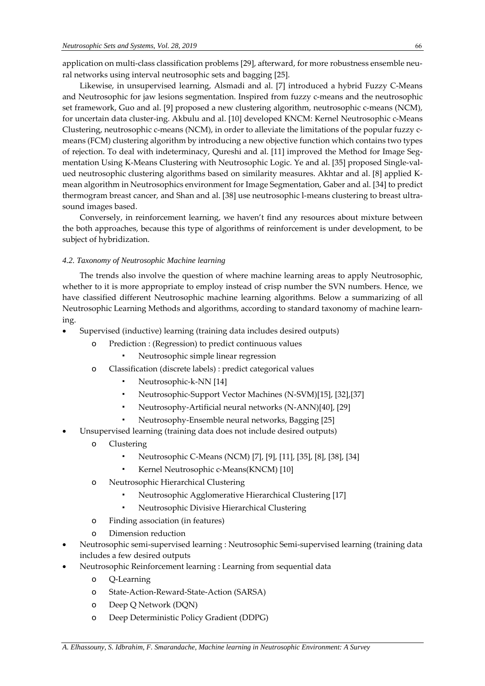application on multi-class classification problems [29], afterward, for more robustness ensemble neural networks using interval neutrosophic sets and bagging [25].

Likewise, in unsupervised learning, Alsmadi and al. [7] introduced a hybrid Fuzzy C-Means and Neutrosophic for jaw lesions segmentation. Inspired from fuzzy c-means and the neutrosophic set framework, Guo and al. [9] proposed a new clustering algorithm, neutrosophic c-means (NCM), for uncertain data cluster-ing. Akbulu and al. [10] developed KNCM: Kernel Neutrosophic c-Means Clustering, neutrosophic c-means (NCM), in order to alleviate the limitations of the popular fuzzy cmeans (FCM) clustering algorithm by introducing a new objective function which contains two types of rejection. To deal with indeterminacy, Qureshi and al. [11] improved the Method for Image Segmentation Using K-Means Clustering with Neutrosophic Logic. Ye and al. [35] proposed Single-valued neutrosophic clustering algorithms based on similarity measures. Akhtar and al. [8] applied Kmean algorithm in Neutrosophics environment for Image Segmentation, Gaber and al. [34] to predict thermogram breast cancer, and Shan and al. [38] use neutrosophic l-means clustering to breast ultrasound images based.

Conversely, in reinforcement learning, we haven't find any resources about mixture between the both approaches, because this type of algorithms of reinforcement is under development, to be subject of hybridization.

# *4.2. Taxonomy of Neutrosophic Machine learning*

The trends also involve the question of where machine learning areas to apply Neutrosophic, whether to it is more appropriate to employ instead of crisp number the SVN numbers. Hence, we have classified different Neutrosophic machine learning algorithms. Below a summarizing of all Neutrosophic Learning Methods and algorithms, according to standard taxonomy of machine learning.

- Supervised (inductive) learning (training data includes desired outputs)
	- o Prediction : (Regression) to predict continuous values
		- Neutrosophic simple linear regression
	- o Classification (discrete labels) : predict categorical values
		- Neutrosophic-k-NN [14]
		- Neutrosophic-Support Vector Machines (N-SVM)[15], [32],[37]
		- Neutrosophy-Artificial neural networks (N-ANN)[40], [29]
		- Neutrosophy-Ensemble neural networks, Bagging [25]
- Unsupervised learning (training data does not include desired outputs)
	- o Clustering
		- Neutrosophic C-Means (NCM) [7], [9], [11], [35], [8], [38], [34]
		- Kernel Neutrosophic c-Means(KNCM) [10]
	- o Neutrosophic Hierarchical Clustering
		- Neutrosophic Agglomerative Hierarchical Clustering [17]
		- Neutrosophic Divisive Hierarchical Clustering
	- o Finding association (in features)
	- o Dimension reduction
- Neutrosophic semi-supervised learning : Neutrosophic Semi-supervised learning (training data includes a few desired outputs
- Neutrosophic Reinforcement learning : Learning from sequential data
	- o Q-Learning
	- o State-Action-Reward-State-Action (SARSA)
	- o Deep Q Network (DQN)
	- o Deep Deterministic Policy Gradient (DDPG)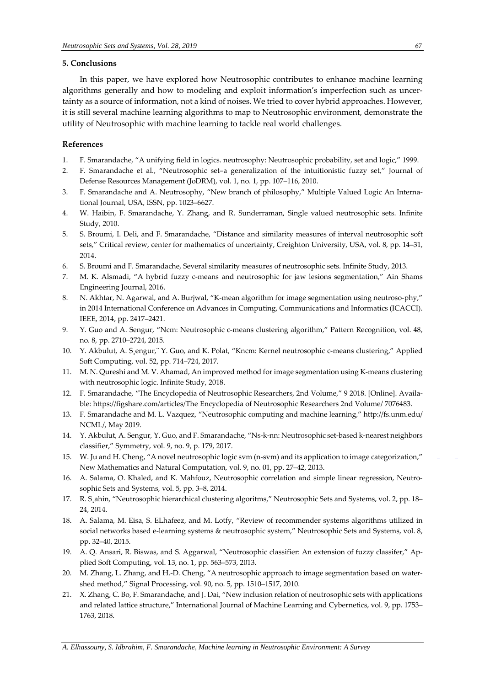# **5. Conclusions**

In this paper, we have explored how Neutrosophic contributes to enhance machine learning algorithms generally and how to modeling and exploit information's imperfection such as uncertainty as a source of information, not a kind of noises. We tried to cover hybrid approaches. However, it is still several machine learning algorithms to map to Neutrosophic environment, demonstrate the utility of Neutrosophic with machine learning to tackle real world challenges.

#### **References**

- 1. F. Smarandache, "A unifying field in logics. neutrosophy: Neutrosophic probability, set and logic," 1999.
- 2. F. Smarandache et al., "Neutrosophic set–a generalization of the intuitionistic fuzzy set," Journal of Defense Resources Management (JoDRM), vol. 1, no. 1, pp. 107–116, 2010.
- 3. F. Smarandache and A. Neutrosophy, "New branch of philosophy," Multiple Valued Logic An International Journal, USA, ISSN, pp. 1023–6627.
- 4. W. Haibin, F. Smarandache, Y. Zhang, and R. Sunderraman, Single valued neutrosophic sets. Infinite Study, 2010.
- 5. S. Broumi, I. Deli, and F. Smarandache, "Distance and similarity measures of interval neutrosophic soft sets," Critical review, center for mathematics of uncertainty, Creighton University, USA, vol. 8, pp. 14–31, 2014.
- 6. S. Broumi and F. Smarandache, Several similarity measures of neutrosophic sets. Infinite Study, 2013.
- 7. M. K. Alsmadi, "A hybrid fuzzy c-means and neutrosophic for jaw lesions segmentation," Ain Shams Engineering Journal, 2016.
- 8. N. Akhtar, N. Agarwal, and A. Burjwal, "K-mean algorithm for image segmentation using neutroso-phy," in 2014 International Conference on Advances in Computing, Communications and Informatics (ICACCI). IEEE, 2014, pp. 2417–2421.
- 9. Y. Guo and A. Sengur, "Ncm: Neutrosophic c-means clustering algorithm," Pattern Recognition, vol. 48, no. 8, pp. 2710–2724, 2015.
- 10. Y. Akbulut, A. S¸engur,¨ Y. Guo, and K. Polat, "Kncm: Kernel neutrosophic c-means clustering," Applied Soft Computing, vol. 52, pp. 714–724, 2017.
- 11. M. N. Qureshi and M. V. Ahamad, An improved method for image segmentation using K-means clustering with neutrosophic logic. Infinite Study, 2018.
- 12. F. Smarandache, "The Encyclopedia of Neutrosophic Researchers, 2nd Volume," 9 2018. [Online]. Available: [https://figshare.com/articles/The](https://figshare.com/articles/The_Encyclopedia_of_Neutrosophic_Researchers_2nd_Volume/7076483) Encyclopedia of Neutrosophic Researchers 2nd Volume/ [7076483.](https://figshare.com/articles/The_Encyclopedia_of_Neutrosophic_Researchers_2nd_Volume/7076483)
- 13. F. Smarandache and M. L. Vazquez, "Neutrosophic computing and machine learning," [http://fs.unm.edu/](http://fs.unm.edu/NCML/) [NCML/,](http://fs.unm.edu/NCML/) May 2019.
- 14. Y. Akbulut, A. Sengur, Y. Guo, and F. Smarandache, "Ns-k-nn: Neutrosophic set-based k-nearest neighbors classifier," Symmetry, vol. 9, no. 9, p. 179, 2017.
- 15. W. Ju and H. Cheng, "A novel neutrosophic logic svm (n-svm) and its application to image categorization," New Mathematics and Natural Computation, vol. 9, no. 01, pp. 27–42, 2013.
- 16. A. Salama, O. Khaled, and K. Mahfouz, Neutrosophic correlation and simple linear regression, Neutrosophic Sets and Systems, vol. 5, pp. 3–8, 2014.
- 17. R. S¸ahin, "Neutrosophic hierarchical clustering algoritms," Neutrosophic Sets and Systems, vol. 2, pp. 18– 24, 2014.
- 18. A. Salama, M. Eisa, S. ELhafeez, and M. Lotfy, "Review of recommender systems algorithms utilized in social networks based e-learning systems & neutrosophic system," Neutrosophic Sets and Systems, vol. 8, pp. 32–40, 2015.
- 19. A. Q. Ansari, R. Biswas, and S. Aggarwal, "Neutrosophic classifier: An extension of fuzzy classifer," Applied Soft Computing, vol. 13, no. 1, pp. 563–573, 2013.
- 20. M. Zhang, L. Zhang, and H.-D. Cheng, "A neutrosophic approach to image segmentation based on watershed method," Signal Processing, vol. 90, no. 5, pp. 1510–1517, 2010.
- 21. X. Zhang, C. Bo, F. Smarandache, and J. Dai, "New inclusion relation of neutrosophic sets with applications and related lattice structure," International Journal of Machine Learning and Cybernetics, vol. 9, pp. 1753– 1763, 2018.